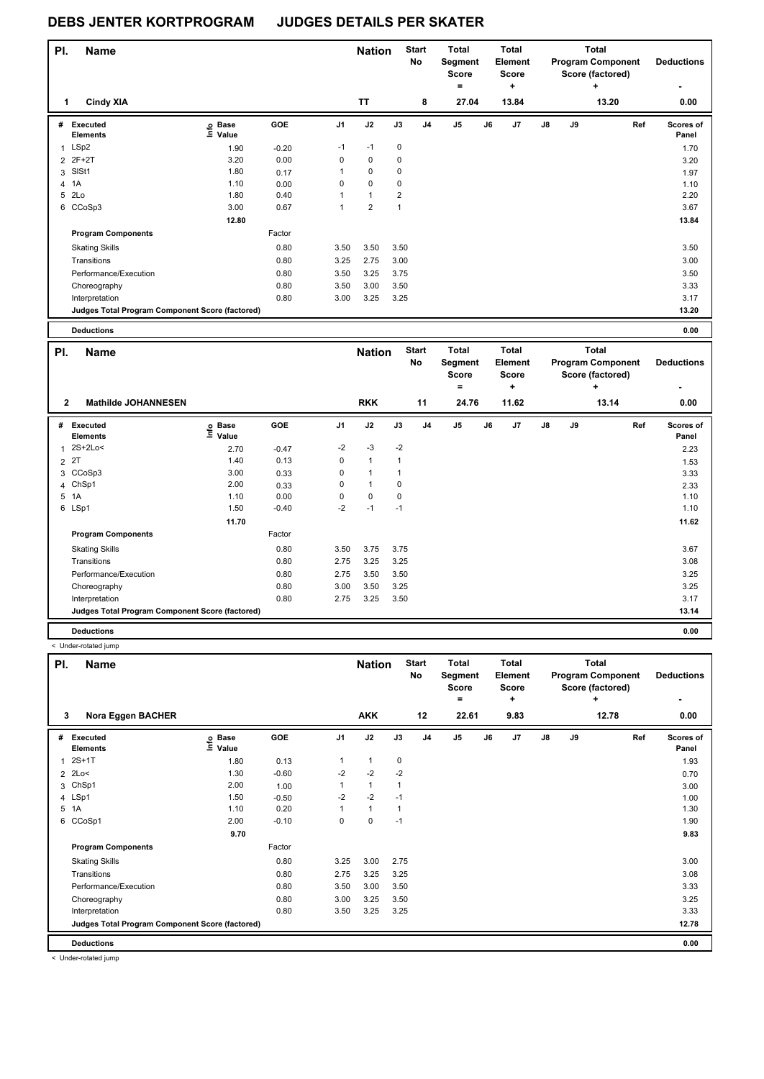| PI. | <b>Name</b>                                     |                   |         |                | <b>Nation</b>  |                | <b>Start</b><br><b>No</b> | <b>Total</b><br>Segment<br><b>Score</b><br>= |    | <b>Total</b><br>Element<br><b>Score</b><br>٠ |               |    | Total<br><b>Program Component</b><br>Score (factored)<br>٠ | <b>Deductions</b>  |
|-----|-------------------------------------------------|-------------------|---------|----------------|----------------|----------------|---------------------------|----------------------------------------------|----|----------------------------------------------|---------------|----|------------------------------------------------------------|--------------------|
| 1   | <b>Cindy XIA</b>                                |                   |         |                | <b>TT</b>      |                | 8                         | 27.04                                        |    | 13.84                                        |               |    | 13.20                                                      | 0.00               |
| #   | Executed<br><b>Elements</b>                     | e Base<br>⊑ Value | GOE     | J <sub>1</sub> | J2             | J3             | J <sub>4</sub>            | J5                                           | J6 | J <sub>7</sub>                               | $\mathsf{J}8$ | J9 | Ref                                                        | Scores of<br>Panel |
| 1   | LSp2                                            | 1.90              | $-0.20$ | $-1$           | $-1$           | $\pmb{0}$      |                           |                                              |    |                                              |               |    |                                                            | 1.70               |
|     | 2 2F+2T                                         | 3.20              | 0.00    | 0              | 0              | 0              |                           |                                              |    |                                              |               |    |                                                            | 3.20               |
| 3   | SISt1                                           | 1.80              | 0.17    |                | $\mathbf 0$    | 0              |                           |                                              |    |                                              |               |    |                                                            | 1.97               |
|     | 4 1A                                            | 1.10              | 0.00    | $\Omega$       | $\mathbf 0$    | 0              |                           |                                              |    |                                              |               |    |                                                            | 1.10               |
| 5   | 2Lo                                             | 1.80              | 0.40    |                | $\mathbf{1}$   | $\overline{2}$ |                           |                                              |    |                                              |               |    |                                                            | 2.20               |
|     | 6 CCoSp3                                        | 3.00              | 0.67    | $\overline{1}$ | $\overline{2}$ | $\mathbf{1}$   |                           |                                              |    |                                              |               |    |                                                            | 3.67               |
|     |                                                 | 12.80             |         |                |                |                |                           |                                              |    |                                              |               |    |                                                            | 13.84              |
|     | <b>Program Components</b>                       |                   | Factor  |                |                |                |                           |                                              |    |                                              |               |    |                                                            |                    |
|     | <b>Skating Skills</b>                           |                   | 0.80    | 3.50           | 3.50           | 3.50           |                           |                                              |    |                                              |               |    |                                                            | 3.50               |
|     | Transitions                                     |                   | 0.80    | 3.25           | 2.75           | 3.00           |                           |                                              |    |                                              |               |    |                                                            | 3.00               |
|     | Performance/Execution                           |                   | 0.80    | 3.50           | 3.25           | 3.75           |                           |                                              |    |                                              |               |    |                                                            | 3.50               |
|     | Choreography                                    |                   | 0.80    | 3.50           | 3.00           | 3.50           |                           |                                              |    |                                              |               |    |                                                            | 3.33               |
|     | Interpretation                                  |                   | 0.80    | 3.00           | 3.25           | 3.25           |                           |                                              |    |                                              |               |    |                                                            | 3.17               |
|     | Judges Total Program Component Score (factored) |                   |         |                |                |                |                           |                                              |    |                                              |               |    |                                                            | 13.20              |
|     | <b>Deductions</b>                               |                   |         |                |                |                |                           |                                              |    |                                              |               |    |                                                            | 0.00               |

| PI.          | <b>Name</b>                                     |                   |         |          | <b>Nation</b> |             | <b>Start</b><br><b>No</b> | <b>Total</b><br>Segment<br>Score<br>۰ |    | Total<br>Element<br><b>Score</b><br>÷ |    |    | <b>Total</b><br><b>Program Component</b><br>Score (factored)<br>٠ | <b>Deductions</b>  |
|--------------|-------------------------------------------------|-------------------|---------|----------|---------------|-------------|---------------------------|---------------------------------------|----|---------------------------------------|----|----|-------------------------------------------------------------------|--------------------|
| $\mathbf{2}$ | <b>Mathilde JOHANNESEN</b>                      |                   |         |          | <b>RKK</b>    |             | 11                        | 24.76                                 |    | 11.62                                 |    |    | 13.14                                                             | 0.00               |
| #            | Executed<br><b>Elements</b>                     | e Base<br>E Value | GOE     | J1       | J2            | J3          | J <sub>4</sub>            | J <sub>5</sub>                        | J6 | J7                                    | J8 | J9 | Ref                                                               | Scores of<br>Panel |
|              | 1 2S+2Lo<                                       | 2.70              | $-0.47$ | $-2$     | $-3$          | $-2$        |                           |                                       |    |                                       |    |    |                                                                   | 2.23               |
|              | 2 2T                                            | 1.40              | 0.13    | 0        | $\mathbf{1}$  | $\mathbf 1$ |                           |                                       |    |                                       |    |    |                                                                   | 1.53               |
|              | 3 CCoSp3                                        | 3.00              | 0.33    | 0        | $\mathbf{1}$  |             |                           |                                       |    |                                       |    |    |                                                                   | 3.33               |
|              | 4 ChSp1                                         | 2.00              | 0.33    | 0        | $\mathbf{1}$  | 0           |                           |                                       |    |                                       |    |    |                                                                   | 2.33               |
|              | 5 1A                                            | 1.10              | 0.00    | $\Omega$ | 0             | 0           |                           |                                       |    |                                       |    |    |                                                                   | 1.10               |
|              | 6 LSp1                                          | 1.50              | $-0.40$ | $-2$     | $-1$          | $-1$        |                           |                                       |    |                                       |    |    |                                                                   | 1.10               |
|              |                                                 | 11.70             |         |          |               |             |                           |                                       |    |                                       |    |    |                                                                   | 11.62              |
|              | <b>Program Components</b>                       |                   | Factor  |          |               |             |                           |                                       |    |                                       |    |    |                                                                   |                    |
|              | <b>Skating Skills</b>                           |                   | 0.80    | 3.50     | 3.75          | 3.75        |                           |                                       |    |                                       |    |    |                                                                   | 3.67               |
|              | Transitions                                     |                   | 0.80    | 2.75     | 3.25          | 3.25        |                           |                                       |    |                                       |    |    |                                                                   | 3.08               |
|              | Performance/Execution                           |                   | 0.80    | 2.75     | 3.50          | 3.50        |                           |                                       |    |                                       |    |    |                                                                   | 3.25               |
|              | Choreography                                    |                   | 0.80    | 3.00     | 3.50          | 3.25        |                           |                                       |    |                                       |    |    |                                                                   | 3.25               |
|              | Interpretation                                  |                   | 0.80    | 2.75     | 3.25          | 3.50        |                           |                                       |    |                                       |    |    |                                                                   | 3.17               |
|              | Judges Total Program Component Score (factored) |                   |         |          |               |             |                           |                                       |    |                                       |    |    |                                                                   | 13.14              |
|              | <b>Deductions</b>                               |                   |         |          |               |             |                           |                                       |    |                                       |    |    |                                                                   | 0.00               |

< Under-rotated jump

| PI. | <b>Name</b>                                     |                   |         |                | <b>Nation</b> |      | <b>Start</b><br>No | Total<br>Segment<br><b>Score</b><br>$=$ |    | <b>Total</b><br>Element<br><b>Score</b><br>÷ |    |    | Total<br><b>Program Component</b><br>Score (factored)<br>٠ | <b>Deductions</b><br>٠ |
|-----|-------------------------------------------------|-------------------|---------|----------------|---------------|------|--------------------|-----------------------------------------|----|----------------------------------------------|----|----|------------------------------------------------------------|------------------------|
| 3   | Nora Eggen BACHER                               |                   |         |                | <b>AKK</b>    |      | 12                 | 22.61                                   |    | 9.83                                         |    |    | 12.78                                                      | 0.00                   |
| #   | Executed<br><b>Elements</b>                     | e Base<br>⊑ Value | GOE     | J <sub>1</sub> | J2            | J3   | J <sub>4</sub>     | J <sub>5</sub>                          | J6 | J7                                           | J8 | J9 | Ref                                                        | Scores of<br>Panel     |
| 1   | $2S+1T$                                         | 1.80              | 0.13    |                | $\mathbf{1}$  | 0    |                    |                                         |    |                                              |    |    |                                                            | 1.93                   |
|     | $2$ 2Lo<                                        | 1.30              | $-0.60$ | $-2$           | $-2$          | $-2$ |                    |                                         |    |                                              |    |    |                                                            | 0.70                   |
| 3   | ChSp1                                           | 2.00              | 1.00    |                | $\mathbf{1}$  |      |                    |                                         |    |                                              |    |    |                                                            | 3.00                   |
|     | 4 LSp1                                          | 1.50              | $-0.50$ | $-2$           | $-2$          | $-1$ |                    |                                         |    |                                              |    |    |                                                            | 1.00                   |
|     | 5 1A                                            | 1.10              | 0.20    |                | $\mathbf{1}$  |      |                    |                                         |    |                                              |    |    |                                                            | 1.30                   |
| 6   | CCoSp1                                          | 2.00              | $-0.10$ | 0              | $\mathbf 0$   | $-1$ |                    |                                         |    |                                              |    |    |                                                            | 1.90                   |
|     |                                                 | 9.70              |         |                |               |      |                    |                                         |    |                                              |    |    |                                                            | 9.83                   |
|     | <b>Program Components</b>                       |                   | Factor  |                |               |      |                    |                                         |    |                                              |    |    |                                                            |                        |
|     | <b>Skating Skills</b>                           |                   | 0.80    | 3.25           | 3.00          | 2.75 |                    |                                         |    |                                              |    |    |                                                            | 3.00                   |
|     | Transitions                                     |                   | 0.80    | 2.75           | 3.25          | 3.25 |                    |                                         |    |                                              |    |    |                                                            | 3.08                   |
|     | Performance/Execution                           |                   | 0.80    | 3.50           | 3.00          | 3.50 |                    |                                         |    |                                              |    |    |                                                            | 3.33                   |
|     | Choreography                                    |                   | 0.80    | 3.00           | 3.25          | 3.50 |                    |                                         |    |                                              |    |    |                                                            | 3.25                   |
|     | Interpretation                                  |                   | 0.80    | 3.50           | 3.25          | 3.25 |                    |                                         |    |                                              |    |    |                                                            | 3.33                   |
|     | Judges Total Program Component Score (factored) |                   |         |                |               |      |                    |                                         |    |                                              |    |    |                                                            | 12.78                  |
|     | <b>Deductions</b>                               |                   |         |                |               |      |                    |                                         |    |                                              |    |    |                                                            | 0.00                   |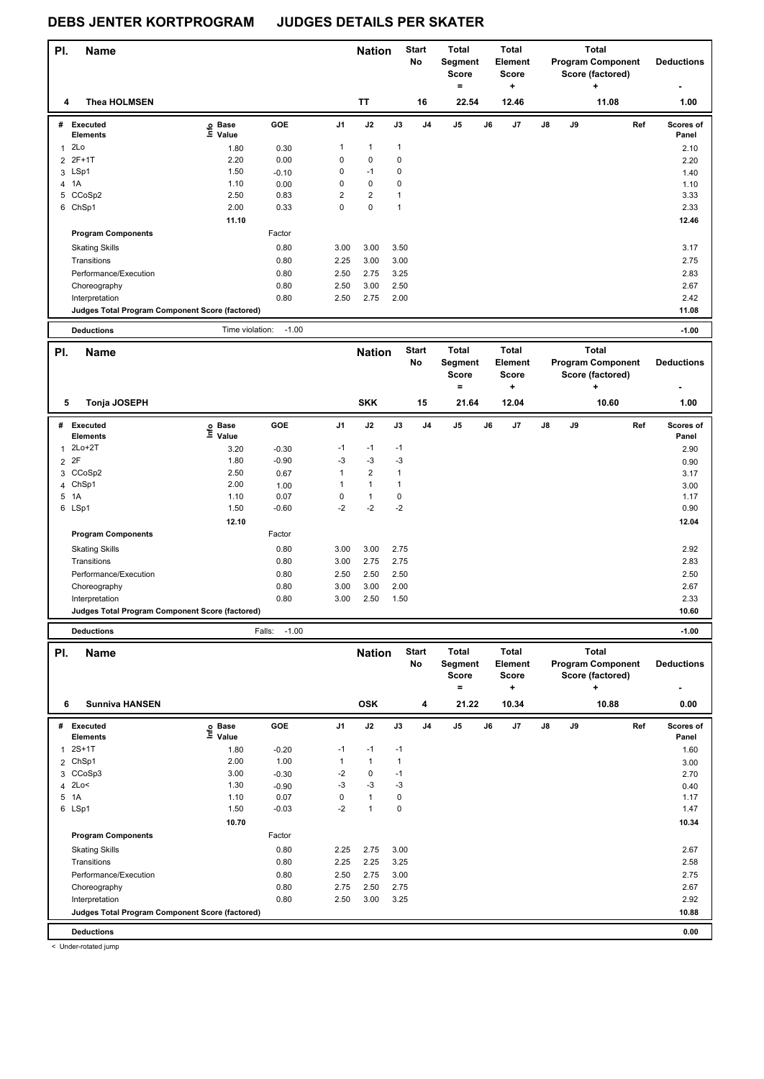| PI.            | <b>Name</b>                                     |                            |                   |                | <b>Nation</b>                |                   | <b>Start</b> | <b>Total</b>            |    | <b>Total</b>                   |    |    | <b>Total</b>                  |     |                   |
|----------------|-------------------------------------------------|----------------------------|-------------------|----------------|------------------------------|-------------------|--------------|-------------------------|----|--------------------------------|----|----|-------------------------------|-----|-------------------|
|                |                                                 |                            |                   |                |                              |                   | No           | Segment<br><b>Score</b> |    | <b>Element</b><br><b>Score</b> |    |    | <b>Program Component</b>      |     | <b>Deductions</b> |
|                |                                                 |                            |                   |                |                              |                   |              | $=$                     |    | ٠                              |    |    | Score (factored)<br>$\ddot{}$ |     |                   |
| 4              | <b>Thea HOLMSEN</b>                             |                            |                   |                | TT                           |                   | 16           | 22.54                   |    | 12.46                          |    |    | 11.08                         |     | 1.00              |
|                | # Executed                                      | e Base<br>⊑ Value          | GOE               | J1             | J2                           | J3                | J4           | J5                      | J6 | J7                             | J8 | J9 |                               | Ref | Scores of         |
|                | <b>Elements</b>                                 |                            |                   |                |                              |                   |              |                         |    |                                |    |    |                               |     | Panel             |
| 1              | 2Lo<br>2 2F+1T                                  | 1.80<br>2.20               | 0.30<br>0.00      | 1<br>0         | $\mathbf{1}$<br>0            | $\mathbf{1}$<br>0 |              |                         |    |                                |    |    |                               |     | 2.10              |
|                | 3 LSp1                                          | 1.50                       | $-0.10$           | 0              | $-1$                         | 0                 |              |                         |    |                                |    |    |                               |     | 2.20<br>1.40      |
|                | 4 1A                                            | 1.10                       | 0.00              | 0              | 0                            | 0                 |              |                         |    |                                |    |    |                               |     | 1.10              |
| 5              | CCoSp2                                          | 2.50                       | 0.83              | $\overline{2}$ | $\overline{\mathbf{c}}$      | 1                 |              |                         |    |                                |    |    |                               |     | 3.33              |
|                | 6 ChSp1                                         | 2.00                       | 0.33              | 0              | 0                            | $\mathbf{1}$      |              |                         |    |                                |    |    |                               |     | 2.33              |
|                |                                                 | 11.10                      |                   |                |                              |                   |              |                         |    |                                |    |    |                               |     | 12.46             |
|                | <b>Program Components</b>                       |                            | Factor            |                |                              |                   |              |                         |    |                                |    |    |                               |     |                   |
|                | <b>Skating Skills</b>                           |                            | 0.80              | 3.00           | 3.00                         | 3.50              |              |                         |    |                                |    |    |                               |     | 3.17              |
|                | Transitions                                     |                            | 0.80              | 2.25           | 3.00                         | 3.00              |              |                         |    |                                |    |    |                               |     | 2.75              |
|                | Performance/Execution                           |                            | 0.80              | 2.50           | 2.75                         | 3.25              |              |                         |    |                                |    |    |                               |     | 2.83              |
|                | Choreography                                    |                            | 0.80              | 2.50           | 3.00                         | 2.50              |              |                         |    |                                |    |    |                               |     | 2.67              |
|                | Interpretation                                  |                            | 0.80              | 2.50           | 2.75                         | 2.00              |              |                         |    |                                |    |    |                               |     | 2.42              |
|                | Judges Total Program Component Score (factored) |                            |                   |                |                              |                   |              |                         |    |                                |    |    |                               |     | 11.08             |
|                | <b>Deductions</b>                               | Time violation:            | $-1.00$           |                |                              |                   |              |                         |    |                                |    |    |                               |     | $-1.00$           |
| PI.            | <b>Name</b>                                     |                            |                   |                | <b>Nation</b>                |                   | <b>Start</b> | <b>Total</b>            |    | <b>Total</b>                   |    |    | <b>Total</b>                  |     |                   |
|                |                                                 |                            |                   |                |                              |                   | No           | Segment                 |    | Element                        |    |    | <b>Program Component</b>      |     | <b>Deductions</b> |
|                |                                                 |                            |                   |                |                              |                   |              | <b>Score</b>            |    | <b>Score</b>                   |    |    | Score (factored)              |     |                   |
|                |                                                 |                            |                   |                |                              |                   |              | $\qquad \qquad =$       |    | +                              |    |    | ÷                             |     |                   |
| 5              | Tonja JOSEPH                                    |                            |                   |                | <b>SKK</b>                   |                   | 15           | 21.64                   |    | 12.04                          |    |    | 10.60                         |     | 1.00              |
|                | # Executed                                      |                            | GOE               | J1             | J2                           | J3                | J4           | J5                      | J6 | J7                             | J8 | J9 |                               | Ref | Scores of         |
|                | <b>Elements</b>                                 | e Base<br>E Value<br>Value |                   |                |                              |                   |              |                         |    |                                |    |    |                               |     | Panel             |
| 1              | $2Lo+2T$                                        | 3.20                       | $-0.30$           | $-1$           | $-1$                         | $-1$              |              |                         |    |                                |    |    |                               |     | 2.90              |
|                | 2 2F                                            | 1.80                       | $-0.90$           | $-3$           | $-3$                         | $-3$              |              |                         |    |                                |    |    |                               |     | 0.90              |
|                | 3 CCoSp2                                        | 2.50                       | 0.67              | 1              | $\overline{\mathbf{c}}$      | 1                 |              |                         |    |                                |    |    |                               |     | 3.17              |
| $\overline{4}$ | ChSp1<br>5 1A                                   | 2.00<br>1.10               | 1.00<br>0.07      | 1<br>0         | $\mathbf{1}$<br>$\mathbf{1}$ | 1<br>0            |              |                         |    |                                |    |    |                               |     | 3.00              |
|                | 6 LSp1                                          | 1.50                       | $-0.60$           | $-2$           | $-2$                         | $-2$              |              |                         |    |                                |    |    |                               |     | 1.17<br>0.90      |
|                |                                                 | 12.10                      |                   |                |                              |                   |              |                         |    |                                |    |    |                               |     | 12.04             |
|                | <b>Program Components</b>                       |                            | Factor            |                |                              |                   |              |                         |    |                                |    |    |                               |     |                   |
|                | <b>Skating Skills</b>                           |                            | 0.80              | 3.00           | 3.00                         | 2.75              |              |                         |    |                                |    |    |                               |     | 2.92              |
|                | Transitions                                     |                            | 0.80              | 3.00           | 2.75                         | 2.75              |              |                         |    |                                |    |    |                               |     | 2.83              |
|                | Performance/Execution                           |                            | 0.80              | 2.50           | 2.50                         | 2.50              |              |                         |    |                                |    |    |                               |     | 2.50              |
|                | Choreography                                    |                            | 0.80              | 3.00           | 3.00                         | 2.00              |              |                         |    |                                |    |    |                               |     | 2.67              |
|                | Interpretation                                  |                            | 0.80              | 3.00           | 2.50                         | 1.50              |              |                         |    |                                |    |    |                               |     | 2.33              |
|                | Judges Total Program Component Score (factored) |                            |                   |                |                              |                   |              |                         |    |                                |    |    |                               |     | 10.60             |
|                | <b>Deductions</b>                               |                            | $-1.00$<br>Falls: |                |                              |                   |              |                         |    |                                |    |    |                               |     | $-1.00$           |
| PI.            | <b>Name</b>                                     |                            |                   |                | <b>Nation</b>                |                   | Start        | Total                   |    | Total                          |    |    | <b>Total</b>                  |     |                   |
|                |                                                 |                            |                   |                |                              |                   | No           | Segment                 |    | Element                        |    |    | <b>Program Component</b>      |     | <b>Deductions</b> |
|                |                                                 |                            |                   |                |                              |                   |              | Score                   |    | <b>Score</b>                   |    |    | Score (factored)              |     |                   |
|                |                                                 |                            |                   |                |                              |                   |              | $\equiv$                |    | ÷                              |    |    |                               |     |                   |
| 6              | <b>Sunniva HANSEN</b>                           |                            |                   |                | <b>OSK</b>                   |                   | 4            | 21.22                   |    | 10.34                          |    |    | 10.88                         |     | 0.00              |
|                | # Executed                                      |                            | GOE               | J1             | J2                           | J3                | J4           | J5                      | J6 | J7                             | J8 | J9 |                               | Ref | Scores of         |
|                | <b>Elements</b>                                 | e Base<br>⊑ Value          |                   |                |                              |                   |              |                         |    |                                |    |    |                               |     | Panel             |
| 1              | $2S+1T$                                         | 1.80                       | $-0.20$           | $-1$           | $-1$                         | $-1$              |              |                         |    |                                |    |    |                               |     | 1.60              |
| $\overline{2}$ | ChSp1                                           | 2.00                       | 1.00              | 1              | $\mathbf{1}$                 | $\mathbf{1}$      |              |                         |    |                                |    |    |                               |     | 3.00              |
|                | 3 CCoSp3                                        | 3.00                       | $-0.30$           | $-2$<br>$-3$   | 0<br>$-3$                    | $-1$<br>$-3$      |              |                         |    |                                |    |    |                               |     | 2.70              |
|                | 4 2Lo<<br>5 1A                                  | 1.30<br>1.10               | $-0.90$<br>0.07   | 0              | $\mathbf{1}$                 | 0                 |              |                         |    |                                |    |    |                               |     | 0.40<br>1.17      |
|                | 6 LSp1                                          | 1.50                       | $-0.03$           | $-2$           | $\mathbf{1}$                 | 0                 |              |                         |    |                                |    |    |                               |     | 1.47              |
|                |                                                 | 10.70                      |                   |                |                              |                   |              |                         |    |                                |    |    |                               |     | 10.34             |
|                | <b>Program Components</b>                       |                            | Factor            |                |                              |                   |              |                         |    |                                |    |    |                               |     |                   |
|                | <b>Skating Skills</b>                           |                            | 0.80              | 2.25           | 2.75                         | 3.00              |              |                         |    |                                |    |    |                               |     | 2.67              |
|                | Transitions                                     |                            | 0.80              | 2.25           | 2.25                         | 3.25              |              |                         |    |                                |    |    |                               |     | 2.58              |
|                | Performance/Execution                           |                            | 0.80              | 2.50           | 2.75                         | 3.00              |              |                         |    |                                |    |    |                               |     | 2.75              |
|                | Choreography                                    |                            | 0.80              | 2.75           | 2.50                         | 2.75              |              |                         |    |                                |    |    |                               |     | 2.67              |
|                | Interpretation                                  |                            | 0.80              | 2.50           | 3.00                         | 3.25              |              |                         |    |                                |    |    |                               |     | 2.92              |
|                | Judges Total Program Component Score (factored) |                            |                   |                |                              |                   |              |                         |    |                                |    |    |                               |     | 10.88             |
|                | <b>Deductions</b>                               |                            |                   |                |                              |                   |              |                         |    |                                |    |    |                               |     | 0.00              |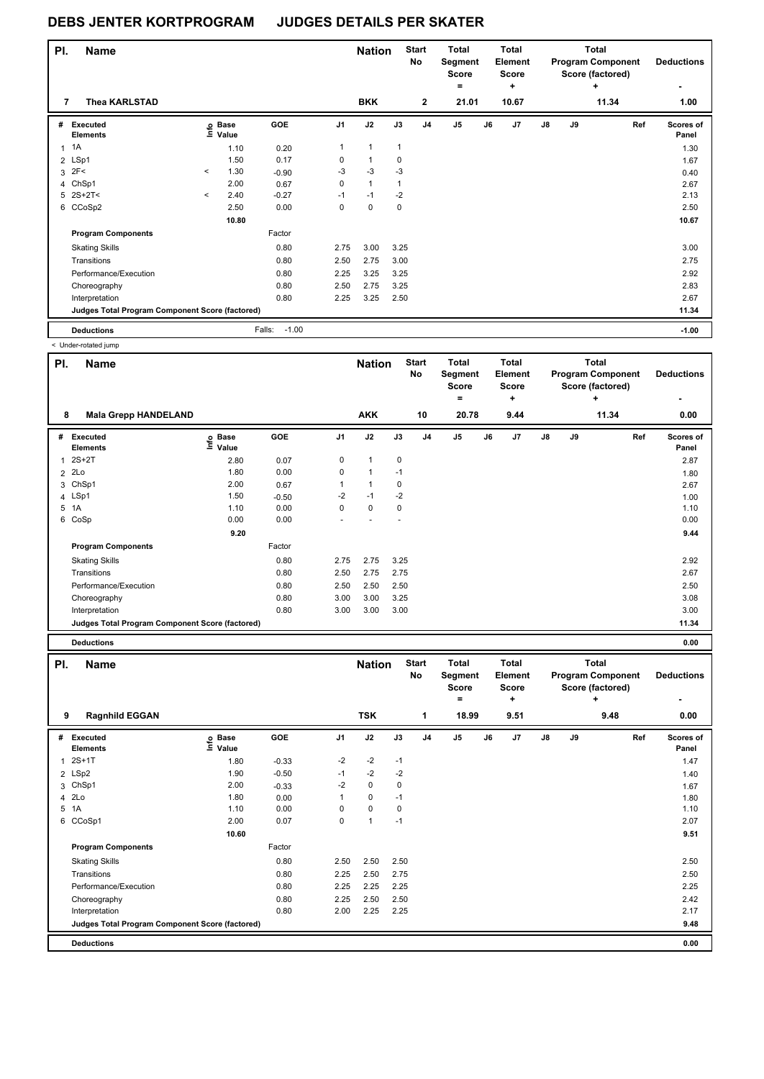| PI. | <b>Name</b>                                     |         |                   |                   |                | <b>Nation</b> |              | <b>Start</b><br>No | <b>Total</b><br>Segment<br><b>Score</b><br>۰ |    | Total<br>Element<br><b>Score</b><br>٠ |               |    | <b>Total</b><br><b>Program Component</b><br>Score (factored)<br>٠ | <b>Deductions</b>  |
|-----|-------------------------------------------------|---------|-------------------|-------------------|----------------|---------------|--------------|--------------------|----------------------------------------------|----|---------------------------------------|---------------|----|-------------------------------------------------------------------|--------------------|
| 7   | Thea KARLSTAD                                   |         |                   |                   |                | <b>BKK</b>    |              | $\mathbf{2}$       | 21.01                                        |    | 10.67                                 |               |    | 11.34                                                             | 1.00               |
| #   | <b>Executed</b><br><b>Elements</b>              |         | e Base<br>⊑ Value | GOE               | J <sub>1</sub> | J2            | J3           | J <sub>4</sub>     | J <sub>5</sub>                               | J6 | J7                                    | $\mathsf{J}8$ | J9 | Ref                                                               | Scores of<br>Panel |
|     | 1A                                              |         | 1.10              | 0.20              | $\mathbf{1}$   | $\mathbf{1}$  | $\mathbf{1}$ |                    |                                              |    |                                       |               |    |                                                                   | 1.30               |
|     | 2 LSp1                                          |         | 1.50              | 0.17              | 0              | $\mathbf{1}$  | $\mathbf 0$  |                    |                                              |    |                                       |               |    |                                                                   | 1.67               |
|     | $3$ 2F<                                         | $\prec$ | 1.30              | $-0.90$           | $-3$           | $-3$          | $-3$         |                    |                                              |    |                                       |               |    |                                                                   | 0.40               |
|     | 4 ChSp1                                         |         | 2.00              | 0.67              | 0              | $\mathbf{1}$  | 1            |                    |                                              |    |                                       |               |    |                                                                   | 2.67               |
|     | $5$ 2S+2T<                                      | $\prec$ | 2.40              | $-0.27$           | $-1$           | $-1$          | $-2$         |                    |                                              |    |                                       |               |    |                                                                   | 2.13               |
|     | 6 CCoSp2                                        |         | 2.50              | 0.00              | 0              | 0             | 0            |                    |                                              |    |                                       |               |    |                                                                   | 2.50               |
|     |                                                 |         | 10.80             |                   |                |               |              |                    |                                              |    |                                       |               |    |                                                                   | 10.67              |
|     | <b>Program Components</b>                       |         |                   | Factor            |                |               |              |                    |                                              |    |                                       |               |    |                                                                   |                    |
|     | <b>Skating Skills</b>                           |         |                   | 0.80              | 2.75           | 3.00          | 3.25         |                    |                                              |    |                                       |               |    |                                                                   | 3.00               |
|     | Transitions                                     |         |                   | 0.80              | 2.50           | 2.75          | 3.00         |                    |                                              |    |                                       |               |    |                                                                   | 2.75               |
|     | Performance/Execution                           |         |                   | 0.80              | 2.25           | 3.25          | 3.25         |                    |                                              |    |                                       |               |    |                                                                   | 2.92               |
|     | Choreography                                    |         |                   | 0.80              | 2.50           | 2.75          | 3.25         |                    |                                              |    |                                       |               |    |                                                                   | 2.83               |
|     | Interpretation                                  |         |                   | 0.80              | 2.25           | 3.25          | 2.50         |                    |                                              |    |                                       |               |    |                                                                   | 2.67               |
|     | Judges Total Program Component Score (factored) |         |                   |                   |                |               |              |                    |                                              |    |                                       |               |    |                                                                   | 11.34              |
|     | <b>Deductions</b>                               |         |                   | $-1.00$<br>Falls: |                |               |              |                    |                                              |    |                                       |               |    |                                                                   | $-1.00$            |

| PI.            | <b>Name</b>                                     |                            |            |                | <b>Nation</b>        |      | <b>Start</b><br>No | <b>Total</b><br>Segment<br><b>Score</b><br>$\equiv$ |    | <b>Total</b><br>Element<br><b>Score</b><br>٠ |    |    | <b>Total</b><br><b>Program Component</b><br>Score (factored)<br>٠ | <b>Deductions</b>         |
|----------------|-------------------------------------------------|----------------------------|------------|----------------|----------------------|------|--------------------|-----------------------------------------------------|----|----------------------------------------------|----|----|-------------------------------------------------------------------|---------------------------|
| 8              | <b>Mala Grepp HANDELAND</b>                     |                            |            |                | <b>AKK</b>           |      | 10                 | 20.78                                               |    | 9.44                                         |    |    | 11.34                                                             | 0.00                      |
| #              | <b>Executed</b><br><b>Elements</b>              | e Base<br>E Value<br>Value | <b>GOE</b> | J <sub>1</sub> | J2                   | J3   | J <sub>4</sub>     | J <sub>5</sub>                                      | J6 | J <sub>7</sub>                               | J8 | J9 | Ref                                                               | <b>Scores of</b><br>Panel |
| $\overline{1}$ | $2S+2T$                                         | 2.80                       | 0.07       | 0              | $\mathbf{1}$         | 0    |                    |                                                     |    |                                              |    |    |                                                                   | 2.87                      |
| $\overline{2}$ | 2Lo                                             | 1.80                       | 0.00       | 0              | $\blacktriangleleft$ | $-1$ |                    |                                                     |    |                                              |    |    |                                                                   | 1.80                      |
| 3              | ChSp1                                           | 2.00                       | 0.67       |                | $\mathbf{1}$         | 0    |                    |                                                     |    |                                              |    |    |                                                                   | 2.67                      |
|                | 4 LSp1                                          | 1.50                       | $-0.50$    | $-2$           | $-1$                 | $-2$ |                    |                                                     |    |                                              |    |    |                                                                   | 1.00                      |
| 5              | 1A                                              | 1.10                       | 0.00       | 0              | $\pmb{0}$            | 0    |                    |                                                     |    |                                              |    |    |                                                                   | 1.10                      |
| 6              | CoSp                                            | 0.00                       | 0.00       | ٠              |                      | ÷,   |                    |                                                     |    |                                              |    |    |                                                                   | 0.00                      |
|                |                                                 | 9.20                       |            |                |                      |      |                    |                                                     |    |                                              |    |    |                                                                   | 9.44                      |
|                | <b>Program Components</b>                       |                            | Factor     |                |                      |      |                    |                                                     |    |                                              |    |    |                                                                   |                           |
|                | <b>Skating Skills</b>                           |                            | 0.80       | 2.75           | 2.75                 | 3.25 |                    |                                                     |    |                                              |    |    |                                                                   | 2.92                      |
|                | Transitions                                     |                            | 0.80       | 2.50           | 2.75                 | 2.75 |                    |                                                     |    |                                              |    |    |                                                                   | 2.67                      |
|                | Performance/Execution                           |                            | 0.80       | 2.50           | 2.50                 | 2.50 |                    |                                                     |    |                                              |    |    |                                                                   | 2.50                      |
|                | Choreography                                    |                            | 0.80       | 3.00           | 3.00                 | 3.25 |                    |                                                     |    |                                              |    |    |                                                                   | 3.08                      |
|                | Interpretation                                  |                            | 0.80       | 3.00           | 3.00                 | 3.00 |                    |                                                     |    |                                              |    |    |                                                                   | 3.00                      |
|                | Judges Total Program Component Score (factored) |                            |            |                |                      |      |                    |                                                     |    |                                              |    |    |                                                                   | 11.34                     |
|                | <b>Deductions</b>                               |                            |            |                |                      |      |                    |                                                     |    |                                              |    |    |                                                                   | 0.00                      |

| PI. | <b>Name</b>                                     |                   |            |                | <b>Nation</b>  |      | <b>Start</b><br>No | <b>Total</b><br>Segment<br><b>Score</b><br>۰ |    | <b>Total</b><br>Element<br><b>Score</b><br>÷ |    |    | <b>Total</b><br><b>Program Component</b><br>Score (factored)<br>٠ | <b>Deductions</b><br>٠    |
|-----|-------------------------------------------------|-------------------|------------|----------------|----------------|------|--------------------|----------------------------------------------|----|----------------------------------------------|----|----|-------------------------------------------------------------------|---------------------------|
| 9   | <b>Ragnhild EGGAN</b>                           |                   |            |                | <b>TSK</b>     |      | 1                  | 18.99                                        |    | 9.51                                         |    |    | 9.48                                                              | 0.00                      |
| #   | <b>Executed</b><br><b>Elements</b>              | e Base<br>⊆ Value | <b>GOE</b> | J <sub>1</sub> | J2             | J3   | J <sub>4</sub>     | J <sub>5</sub>                               | J6 | J7                                           | J8 | J9 | Ref                                                               | <b>Scores of</b><br>Panel |
| 1   | $2S+1T$                                         | 1.80              | $-0.33$    | $-2$           | $-2$           | $-1$ |                    |                                              |    |                                              |    |    |                                                                   | 1.47                      |
|     | 2 LSp2                                          | 1.90              | $-0.50$    | $-1$           | $-2$           | $-2$ |                    |                                              |    |                                              |    |    |                                                                   | 1.40                      |
|     | 3 ChSp1                                         | 2.00              | $-0.33$    | $-2$           | 0              | 0    |                    |                                              |    |                                              |    |    |                                                                   | 1.67                      |
|     | 4 2Lo                                           | 1.80              | 0.00       |                | $\mathbf 0$    | $-1$ |                    |                                              |    |                                              |    |    |                                                                   | 1.80                      |
|     | 5 1A                                            | 1.10              | 0.00       | 0              | $\mathbf 0$    | 0    |                    |                                              |    |                                              |    |    |                                                                   | 1.10                      |
|     | 6 CCoSp1                                        | 2.00              | 0.07       | 0              | $\overline{1}$ | $-1$ |                    |                                              |    |                                              |    |    |                                                                   | 2.07                      |
|     |                                                 | 10.60             |            |                |                |      |                    |                                              |    |                                              |    |    |                                                                   | 9.51                      |
|     | <b>Program Components</b>                       |                   | Factor     |                |                |      |                    |                                              |    |                                              |    |    |                                                                   |                           |
|     | <b>Skating Skills</b>                           |                   | 0.80       | 2.50           | 2.50           | 2.50 |                    |                                              |    |                                              |    |    |                                                                   | 2.50                      |
|     | Transitions                                     |                   | 0.80       | 2.25           | 2.50           | 2.75 |                    |                                              |    |                                              |    |    |                                                                   | 2.50                      |
|     | Performance/Execution                           |                   | 0.80       | 2.25           | 2.25           | 2.25 |                    |                                              |    |                                              |    |    |                                                                   | 2.25                      |
|     | Choreography                                    |                   | 0.80       | 2.25           | 2.50           | 2.50 |                    |                                              |    |                                              |    |    |                                                                   | 2.42                      |
|     | Interpretation                                  |                   | 0.80       | 2.00           | 2.25           | 2.25 |                    |                                              |    |                                              |    |    |                                                                   | 2.17                      |
|     | Judges Total Program Component Score (factored) |                   |            |                |                |      |                    |                                              |    |                                              |    |    |                                                                   | 9.48                      |
|     | <b>Deductions</b>                               |                   |            |                |                |      |                    |                                              |    |                                              |    |    |                                                                   | 0.00                      |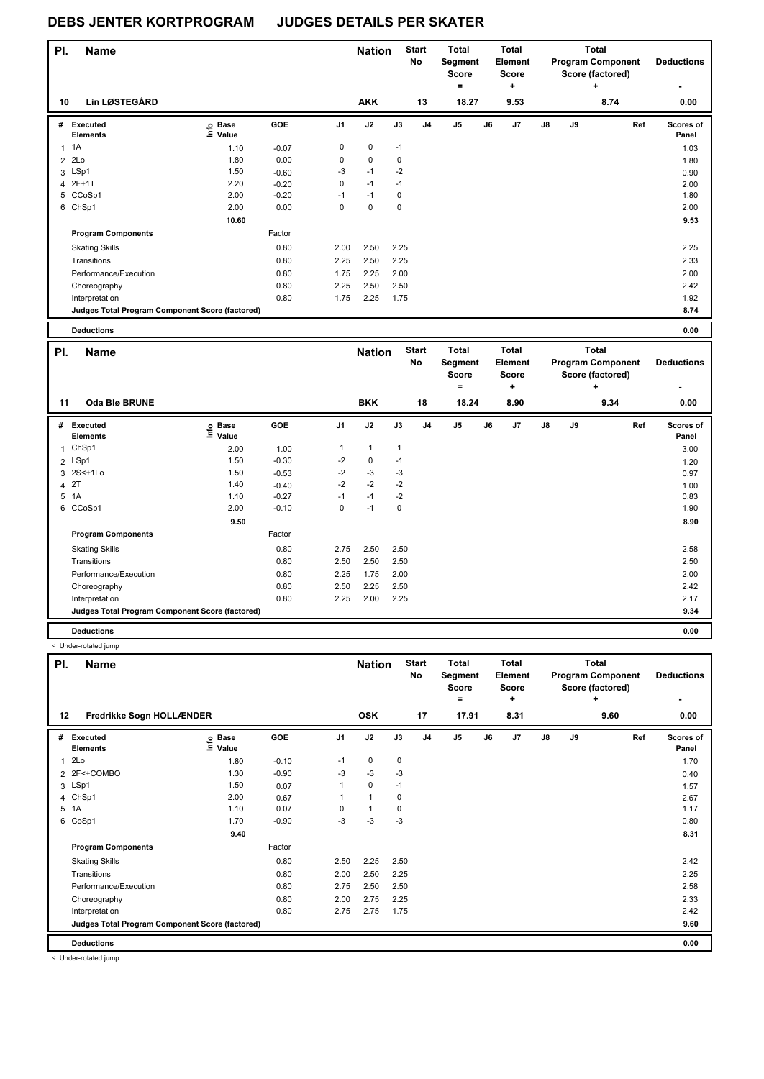| PI. | <b>Name</b>                                     |                                  |         |                | <b>Nation</b> |           | <b>Start</b><br>No | Total<br>Segment<br>Score<br>= |    | <b>Total</b><br>Element<br>Score<br>٠ |               |    | Total<br><b>Program Component</b><br>Score (factored)<br>÷ | <b>Deductions</b>  |
|-----|-------------------------------------------------|----------------------------------|---------|----------------|---------------|-----------|--------------------|--------------------------------|----|---------------------------------------|---------------|----|------------------------------------------------------------|--------------------|
| 10  | Lin LØSTEGÅRD                                   |                                  |         |                | <b>AKK</b>    |           | 13                 | 18.27                          |    | 9.53                                  |               |    | 8.74                                                       | 0.00               |
| #   | Executed<br><b>Elements</b>                     | <b>Base</b><br>e Base<br>⊑ Value | GOE     | J <sub>1</sub> | J2            | J3        | J <sub>4</sub>     | J <sub>5</sub>                 | J6 | J7                                    | $\mathsf{J}8$ | J9 | Ref                                                        | Scores of<br>Panel |
| 1   | 1A                                              | 1.10                             | $-0.07$ | 0              | 0             | $-1$      |                    |                                |    |                                       |               |    |                                                            | 1.03               |
| 2   | 2Lo                                             | 1.80                             | 0.00    | 0              | 0             | 0         |                    |                                |    |                                       |               |    |                                                            | 1.80               |
|     | 3 LSp1                                          | 1.50                             | $-0.60$ | $-3$           | $-1$          | $-2$      |                    |                                |    |                                       |               |    |                                                            | 0.90               |
|     | 4 2F+1T                                         | 2.20                             | $-0.20$ | 0              | $-1$          | $-1$      |                    |                                |    |                                       |               |    |                                                            | 2.00               |
|     | 5 CCoSp1                                        | 2.00                             | $-0.20$ | $-1$           | $-1$          | 0         |                    |                                |    |                                       |               |    |                                                            | 1.80               |
|     | 6 ChSp1                                         | 2.00                             | 0.00    | $\mathbf 0$    | $\mathbf 0$   | $\pmb{0}$ |                    |                                |    |                                       |               |    |                                                            | 2.00               |
|     |                                                 | 10.60                            |         |                |               |           |                    |                                |    |                                       |               |    |                                                            | 9.53               |
|     | <b>Program Components</b>                       |                                  | Factor  |                |               |           |                    |                                |    |                                       |               |    |                                                            |                    |
|     | <b>Skating Skills</b>                           |                                  | 0.80    | 2.00           | 2.50          | 2.25      |                    |                                |    |                                       |               |    |                                                            | 2.25               |
|     | Transitions                                     |                                  | 0.80    | 2.25           | 2.50          | 2.25      |                    |                                |    |                                       |               |    |                                                            | 2.33               |
|     | Performance/Execution                           |                                  | 0.80    | 1.75           | 2.25          | 2.00      |                    |                                |    |                                       |               |    |                                                            | 2.00               |
|     | Choreography                                    |                                  | 0.80    | 2.25           | 2.50          | 2.50      |                    |                                |    |                                       |               |    |                                                            | 2.42               |
|     | Interpretation                                  |                                  | 0.80    | 1.75           | 2.25          | 1.75      |                    |                                |    |                                       |               |    |                                                            | 1.92               |
|     | Judges Total Program Component Score (factored) |                                  |         |                |               |           |                    |                                |    |                                       |               |    |                                                            | 8.74               |
|     | <b>Deductions</b>                               |                                  |         |                |               |           |                    |                                |    |                                       |               |    |                                                            | 0.00               |

| PI.          | <b>Name</b>                                     |                            |         |      | <b>Nation</b> |              | <b>Start</b><br><b>No</b> | <b>Total</b><br>Segment<br><b>Score</b><br>= |    | <b>Total</b><br>Element<br>Score<br>÷ |               |    | <b>Total</b><br><b>Program Component</b><br>Score (factored)<br>÷ | <b>Deductions</b>  |
|--------------|-------------------------------------------------|----------------------------|---------|------|---------------|--------------|---------------------------|----------------------------------------------|----|---------------------------------------|---------------|----|-------------------------------------------------------------------|--------------------|
| 11           | Oda Blø BRUNE                                   |                            |         |      | <b>BKK</b>    |              | 18                        | 18.24                                        |    | 8.90                                  |               |    | 9.34                                                              | 0.00               |
| #            | Executed<br><b>Elements</b>                     | e Base<br>E Value<br>Value | GOE     | J1   | J2            | J3           | J <sub>4</sub>            | J <sub>5</sub>                               | J6 | J7                                    | $\mathsf{J}8$ | J9 | Ref                                                               | Scores of<br>Panel |
| $\mathbf{1}$ | ChSp1                                           | 2.00                       | 1.00    | 1    | $\mathbf{1}$  | $\mathbf{1}$ |                           |                                              |    |                                       |               |    |                                                                   | 3.00               |
|              | 2 LSp1                                          | 1.50                       | $-0.30$ | $-2$ | 0             | $-1$         |                           |                                              |    |                                       |               |    |                                                                   | 1.20               |
|              | 3 2S<+1Lo                                       | 1.50                       | $-0.53$ | $-2$ | $-3$          | -3           |                           |                                              |    |                                       |               |    |                                                                   | 0.97               |
|              | 4 2T                                            | 1.40                       | $-0.40$ | $-2$ | $-2$          | $-2$         |                           |                                              |    |                                       |               |    |                                                                   | 1.00               |
|              | 5 1A                                            | 1.10                       | $-0.27$ | $-1$ | $-1$          | $-2$         |                           |                                              |    |                                       |               |    |                                                                   | 0.83               |
|              | 6 CCoSp1                                        | 2.00                       | $-0.10$ | 0    | $-1$          | 0            |                           |                                              |    |                                       |               |    |                                                                   | 1.90               |
|              |                                                 | 9.50                       |         |      |               |              |                           |                                              |    |                                       |               |    |                                                                   | 8.90               |
|              | <b>Program Components</b>                       |                            | Factor  |      |               |              |                           |                                              |    |                                       |               |    |                                                                   |                    |
|              | <b>Skating Skills</b>                           |                            | 0.80    | 2.75 | 2.50          | 2.50         |                           |                                              |    |                                       |               |    |                                                                   | 2.58               |
|              | Transitions                                     |                            | 0.80    | 2.50 | 2.50          | 2.50         |                           |                                              |    |                                       |               |    |                                                                   | 2.50               |
|              | Performance/Execution                           |                            | 0.80    | 2.25 | 1.75          | 2.00         |                           |                                              |    |                                       |               |    |                                                                   | 2.00               |
|              | Choreography                                    |                            | 0.80    | 2.50 | 2.25          | 2.50         |                           |                                              |    |                                       |               |    |                                                                   | 2.42               |
|              | Interpretation                                  |                            | 0.80    | 2.25 | 2.00          | 2.25         |                           |                                              |    |                                       |               |    |                                                                   | 2.17               |
|              | Judges Total Program Component Score (factored) |                            |         |      |               |              |                           |                                              |    |                                       |               |    |                                                                   | 9.34               |
|              | <b>Deductions</b>                               |                            |         |      |               |              |                           |                                              |    |                                       |               |    |                                                                   | 0.00               |

< Under-rotated jump

| PI.            | <b>Name</b>                                     |                   |         |                | <b>Nation</b> |      | <b>Start</b><br>No | Total<br>Segment<br><b>Score</b><br>$\equiv$ |    | <b>Total</b><br>Element<br><b>Score</b><br>÷ |    |    | Total<br><b>Program Component</b><br>Score (factored)<br>٠ | <b>Deductions</b><br>٠ |
|----------------|-------------------------------------------------|-------------------|---------|----------------|---------------|------|--------------------|----------------------------------------------|----|----------------------------------------------|----|----|------------------------------------------------------------|------------------------|
| 12             | Fredrikke Sogn HOLLÆNDER                        |                   |         |                | <b>OSK</b>    |      | 17                 | 17.91                                        |    | 8.31                                         |    |    | 9.60                                                       | 0.00                   |
| #              | Executed<br><b>Elements</b>                     | e Base<br>⊑ Value | GOE     | J <sub>1</sub> | J2            | J3   | J <sub>4</sub>     | J <sub>5</sub>                               | J6 | J <sub>7</sub>                               | J8 | J9 | Ref                                                        | Scores of<br>Panel     |
| 1              | 2Lo                                             | 1.80              | $-0.10$ | $-1$           | $\mathbf 0$   | 0    |                    |                                              |    |                                              |    |    |                                                            | 1.70                   |
|                | 2 2F<+COMBO                                     | 1.30              | $-0.90$ | $-3$           | $-3$          | $-3$ |                    |                                              |    |                                              |    |    |                                                            | 0.40                   |
|                | 3 LSp1                                          | 1.50              | 0.07    |                | 0             | $-1$ |                    |                                              |    |                                              |    |    |                                                            | 1.57                   |
| $\overline{4}$ | ChSp1                                           | 2.00              | 0.67    |                | $\mathbf{1}$  | 0    |                    |                                              |    |                                              |    |    |                                                            | 2.67                   |
|                | 5 1A                                            | 1.10              | 0.07    | $\Omega$       | $\mathbf{1}$  | 0    |                    |                                              |    |                                              |    |    |                                                            | 1.17                   |
| 6              | CoSp1                                           | 1.70              | $-0.90$ | $-3$           | -3            | $-3$ |                    |                                              |    |                                              |    |    |                                                            | 0.80                   |
|                |                                                 | 9.40              |         |                |               |      |                    |                                              |    |                                              |    |    |                                                            | 8.31                   |
|                | <b>Program Components</b>                       |                   | Factor  |                |               |      |                    |                                              |    |                                              |    |    |                                                            |                        |
|                | <b>Skating Skills</b>                           |                   | 0.80    | 2.50           | 2.25          | 2.50 |                    |                                              |    |                                              |    |    |                                                            | 2.42                   |
|                | Transitions                                     |                   | 0.80    | 2.00           | 2.50          | 2.25 |                    |                                              |    |                                              |    |    |                                                            | 2.25                   |
|                | Performance/Execution                           |                   | 0.80    | 2.75           | 2.50          | 2.50 |                    |                                              |    |                                              |    |    |                                                            | 2.58                   |
|                | Choreography                                    |                   | 0.80    | 2.00           | 2.75          | 2.25 |                    |                                              |    |                                              |    |    |                                                            | 2.33                   |
|                | Interpretation                                  |                   | 0.80    | 2.75           | 2.75          | 1.75 |                    |                                              |    |                                              |    |    |                                                            | 2.42                   |
|                | Judges Total Program Component Score (factored) |                   |         |                |               |      |                    |                                              |    |                                              |    |    |                                                            | 9.60                   |
|                | <b>Deductions</b>                               |                   |         |                |               |      |                    |                                              |    |                                              |    |    |                                                            | 0.00                   |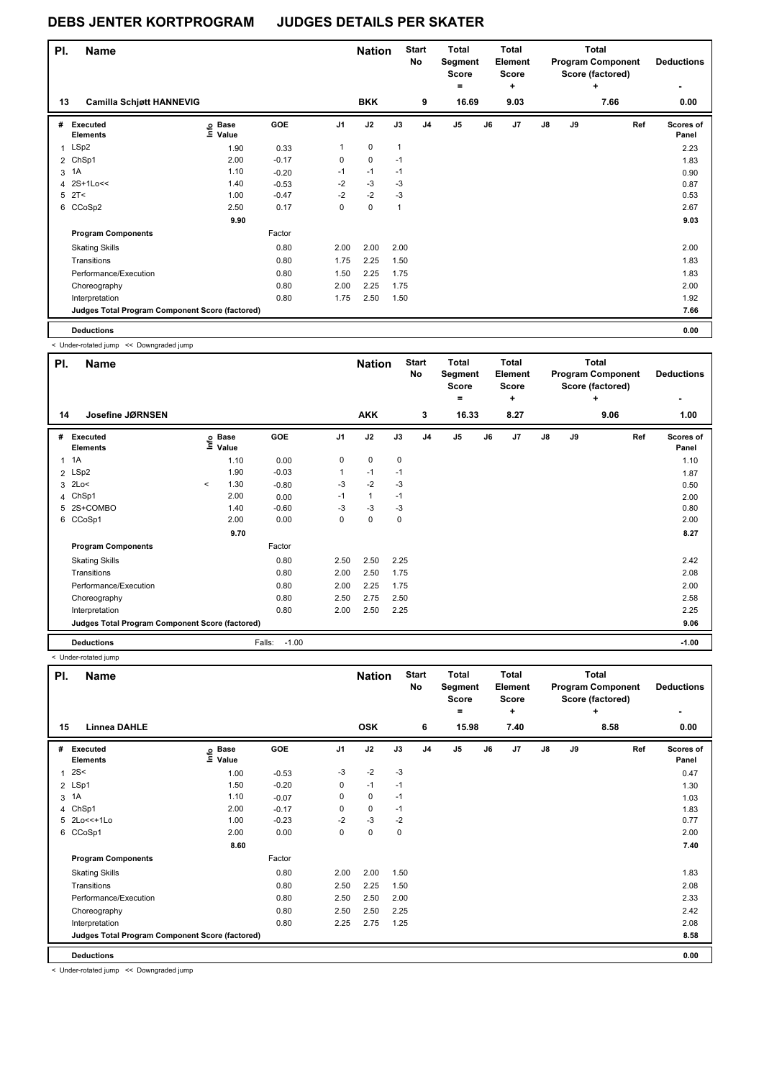| PI. | <b>Name</b>                                     |                   |         |                | <b>Nation</b> |              | <b>Start</b><br><b>No</b> | <b>Total</b><br>Segment<br><b>Score</b><br>= |    | <b>Total</b><br>Element<br><b>Score</b><br>÷ |               |    | <b>Total</b><br><b>Program Component</b><br>Score (factored)<br>٠ |     | <b>Deductions</b>  |
|-----|-------------------------------------------------|-------------------|---------|----------------|---------------|--------------|---------------------------|----------------------------------------------|----|----------------------------------------------|---------------|----|-------------------------------------------------------------------|-----|--------------------|
| 13  | <b>Camilla Schjøtt HANNEVIG</b>                 |                   |         |                | <b>BKK</b>    |              | 9                         | 16.69                                        |    | 9.03                                         |               |    | 7.66                                                              |     | 0.00               |
| #   | Executed<br><b>Elements</b>                     | e Base<br>⊆ Value | GOE     | J <sub>1</sub> | J2            | J3           | J <sub>4</sub>            | J5                                           | J6 | J <sub>7</sub>                               | $\mathsf{J}8$ | J9 |                                                                   | Ref | Scores of<br>Panel |
| 1   | LSp2                                            | 1.90              | 0.33    | 1              | $\mathbf 0$   | $\mathbf{1}$ |                           |                                              |    |                                              |               |    |                                                                   |     | 2.23               |
|     | 2 ChSp1                                         | 2.00              | $-0.17$ | 0              | 0             | $-1$         |                           |                                              |    |                                              |               |    |                                                                   |     | 1.83               |
| 3   | 1A                                              | 1.10              | $-0.20$ | $-1$           | $-1$          | $-1$         |                           |                                              |    |                                              |               |    |                                                                   |     | 0.90               |
|     | 4 2S+1Lo<<                                      | 1.40              | $-0.53$ | $-2$           | $-3$          | $-3$         |                           |                                              |    |                                              |               |    |                                                                   |     | 0.87               |
|     | $5$ $2T <$                                      | 1.00              | $-0.47$ | $-2$           | $-2$          | $-3$         |                           |                                              |    |                                              |               |    |                                                                   |     | 0.53               |
|     | 6 CCoSp2                                        | 2.50              | 0.17    | 0              | 0             | 1            |                           |                                              |    |                                              |               |    |                                                                   |     | 2.67               |
|     |                                                 | 9.90              |         |                |               |              |                           |                                              |    |                                              |               |    |                                                                   |     | 9.03               |
|     | <b>Program Components</b>                       |                   | Factor  |                |               |              |                           |                                              |    |                                              |               |    |                                                                   |     |                    |
|     | <b>Skating Skills</b>                           |                   | 0.80    | 2.00           | 2.00          | 2.00         |                           |                                              |    |                                              |               |    |                                                                   |     | 2.00               |
|     | Transitions                                     |                   | 0.80    | 1.75           | 2.25          | 1.50         |                           |                                              |    |                                              |               |    |                                                                   |     | 1.83               |
|     | Performance/Execution                           |                   | 0.80    | 1.50           | 2.25          | 1.75         |                           |                                              |    |                                              |               |    |                                                                   |     | 1.83               |
|     | Choreography                                    |                   | 0.80    | 2.00           | 2.25          | 1.75         |                           |                                              |    |                                              |               |    |                                                                   |     | 2.00               |
|     | Interpretation                                  |                   | 0.80    | 1.75           | 2.50          | 1.50         |                           |                                              |    |                                              |               |    |                                                                   |     | 1.92               |
|     | Judges Total Program Component Score (factored) |                   |         |                |               |              |                           |                                              |    |                                              |               |    |                                                                   |     | 7.66               |
|     | <b>Deductions</b>                               |                   |         |                |               |              |                           |                                              |    |                                              |               |    |                                                                   |     | 0.00               |

< Under-rotated jump << Downgraded jump

| PI. | <b>Name</b>                                     |         |                            |                   |                | <b>Nation</b> |             | <b>Start</b><br>No | <b>Total</b><br>Segment<br><b>Score</b><br>$=$ |    | Total<br>Element<br><b>Score</b><br>٠ |    |    | Total<br><b>Program Component</b><br>Score (factored)<br>٠ | <b>Deductions</b>  |
|-----|-------------------------------------------------|---------|----------------------------|-------------------|----------------|---------------|-------------|--------------------|------------------------------------------------|----|---------------------------------------|----|----|------------------------------------------------------------|--------------------|
| 14  | Josefine JØRNSEN                                |         |                            |                   |                | <b>AKK</b>    |             | 3                  | 16.33                                          |    | 8.27                                  |    |    | 9.06                                                       | 1.00               |
| #   | Executed<br><b>Elements</b>                     |         | © Base<br>E Value<br>Value | GOE               | J <sub>1</sub> | J2            | J3          | J <sub>4</sub>     | J <sub>5</sub>                                 | J6 | J <sub>7</sub>                        | J8 | J9 | Ref                                                        | Scores of<br>Panel |
|     | $1 \t1A$                                        |         | 1.10                       | 0.00              | 0              | 0             | $\mathbf 0$ |                    |                                                |    |                                       |    |    |                                                            | 1.10               |
|     | 2 LSp2                                          |         | 1.90                       | $-0.03$           |                | $-1$          | $-1$        |                    |                                                |    |                                       |    |    |                                                            | 1.87               |
|     | 3 2Lo<                                          | $\prec$ | 1.30                       | $-0.80$           | $-3$           | $-2$          | $-3$        |                    |                                                |    |                                       |    |    |                                                            | 0.50               |
|     | 4 ChSp1                                         |         | 2.00                       | 0.00              | $-1$           | 1             | $-1$        |                    |                                                |    |                                       |    |    |                                                            | 2.00               |
|     | 5 2S+COMBO                                      |         | 1.40                       | $-0.60$           | $-3$           | $-3$          | $-3$        |                    |                                                |    |                                       |    |    |                                                            | 0.80               |
| 6   | CCoSp1                                          |         | 2.00                       | 0.00              | 0              | 0             | $\mathbf 0$ |                    |                                                |    |                                       |    |    |                                                            | 2.00               |
|     |                                                 |         | 9.70                       |                   |                |               |             |                    |                                                |    |                                       |    |    |                                                            | 8.27               |
|     | <b>Program Components</b>                       |         |                            | Factor            |                |               |             |                    |                                                |    |                                       |    |    |                                                            |                    |
|     | <b>Skating Skills</b>                           |         |                            | 0.80              | 2.50           | 2.50          | 2.25        |                    |                                                |    |                                       |    |    |                                                            | 2.42               |
|     | Transitions                                     |         |                            | 0.80              | 2.00           | 2.50          | 1.75        |                    |                                                |    |                                       |    |    |                                                            | 2.08               |
|     | Performance/Execution                           |         |                            | 0.80              | 2.00           | 2.25          | 1.75        |                    |                                                |    |                                       |    |    |                                                            | 2.00               |
|     | Choreography                                    |         |                            | 0.80              | 2.50           | 2.75          | 2.50        |                    |                                                |    |                                       |    |    |                                                            | 2.58               |
|     | Interpretation                                  |         |                            | 0.80              | 2.00           | 2.50          | 2.25        |                    |                                                |    |                                       |    |    |                                                            | 2.25               |
|     | Judges Total Program Component Score (factored) |         |                            |                   |                |               |             |                    |                                                |    |                                       |    |    |                                                            | 9.06               |
|     | <b>Deductions</b>                               |         |                            | $-1.00$<br>Falls: |                |               |             |                    |                                                |    |                                       |    |    |                                                            | $-1.00$            |

< Under-rotated jump

| PI.            | <b>Name</b>                                     |                                  |         |                | <b>Nation</b> |      | <b>Start</b><br><b>No</b> | Total<br>Segment<br><b>Score</b><br>= |    | <b>Total</b><br>Element<br><b>Score</b><br>٠ |               |    | Total<br><b>Program Component</b><br>Score (factored)<br>٠ | <b>Deductions</b><br>٠ |
|----------------|-------------------------------------------------|----------------------------------|---------|----------------|---------------|------|---------------------------|---------------------------------------|----|----------------------------------------------|---------------|----|------------------------------------------------------------|------------------------|
| 15             | <b>Linnea DAHLE</b>                             |                                  |         |                | <b>OSK</b>    |      | 6                         | 15.98                                 |    | 7.40                                         |               |    | 8.58                                                       | 0.00                   |
| #              | Executed<br><b>Elements</b>                     | <b>Base</b><br>e Base<br>E Value | GOE     | J <sub>1</sub> | J2            | J3   | J <sub>4</sub>            | J <sub>5</sub>                        | J6 | J7                                           | $\mathsf{J}8$ | J9 | Ref                                                        | Scores of<br>Panel     |
| $\overline{1}$ | 2S<                                             | 1.00                             | $-0.53$ | -3             | $-2$          | -3   |                           |                                       |    |                                              |               |    |                                                            | 0.47                   |
|                | 2 LSp1                                          | 1.50                             | $-0.20$ | 0              | $-1$          | $-1$ |                           |                                       |    |                                              |               |    |                                                            | 1.30                   |
| 3              | 1A                                              | 1.10                             | $-0.07$ | 0              | $\mathbf 0$   | $-1$ |                           |                                       |    |                                              |               |    |                                                            | 1.03                   |
| 4              | ChSp1                                           | 2.00                             | $-0.17$ | 0              | $\pmb{0}$     | $-1$ |                           |                                       |    |                                              |               |    |                                                            | 1.83                   |
|                | 5 2Lo<<+1Lo                                     | 1.00                             | $-0.23$ | $-2$           | $-3$          | $-2$ |                           |                                       |    |                                              |               |    |                                                            | 0.77                   |
|                | 6 CCoSp1                                        | 2.00                             | 0.00    | 0              | $\pmb{0}$     | 0    |                           |                                       |    |                                              |               |    |                                                            | 2.00                   |
|                |                                                 | 8.60                             |         |                |               |      |                           |                                       |    |                                              |               |    |                                                            | 7.40                   |
|                | <b>Program Components</b>                       |                                  | Factor  |                |               |      |                           |                                       |    |                                              |               |    |                                                            |                        |
|                | <b>Skating Skills</b>                           |                                  | 0.80    | 2.00           | 2.00          | 1.50 |                           |                                       |    |                                              |               |    |                                                            | 1.83                   |
|                | Transitions                                     |                                  | 0.80    | 2.50           | 2.25          | 1.50 |                           |                                       |    |                                              |               |    |                                                            | 2.08                   |
|                | Performance/Execution                           |                                  | 0.80    | 2.50           | 2.50          | 2.00 |                           |                                       |    |                                              |               |    |                                                            | 2.33                   |
|                | Choreography                                    |                                  | 0.80    | 2.50           | 2.50          | 2.25 |                           |                                       |    |                                              |               |    |                                                            | 2.42                   |
|                | Interpretation                                  |                                  | 0.80    | 2.25           | 2.75          | 1.25 |                           |                                       |    |                                              |               |    |                                                            | 2.08                   |
|                | Judges Total Program Component Score (factored) |                                  |         |                |               |      |                           |                                       |    |                                              |               |    |                                                            | 8.58                   |
|                | <b>Deductions</b>                               |                                  |         |                |               |      |                           |                                       |    |                                              |               |    |                                                            | 0.00                   |

< Under-rotated jump << Downgraded jump